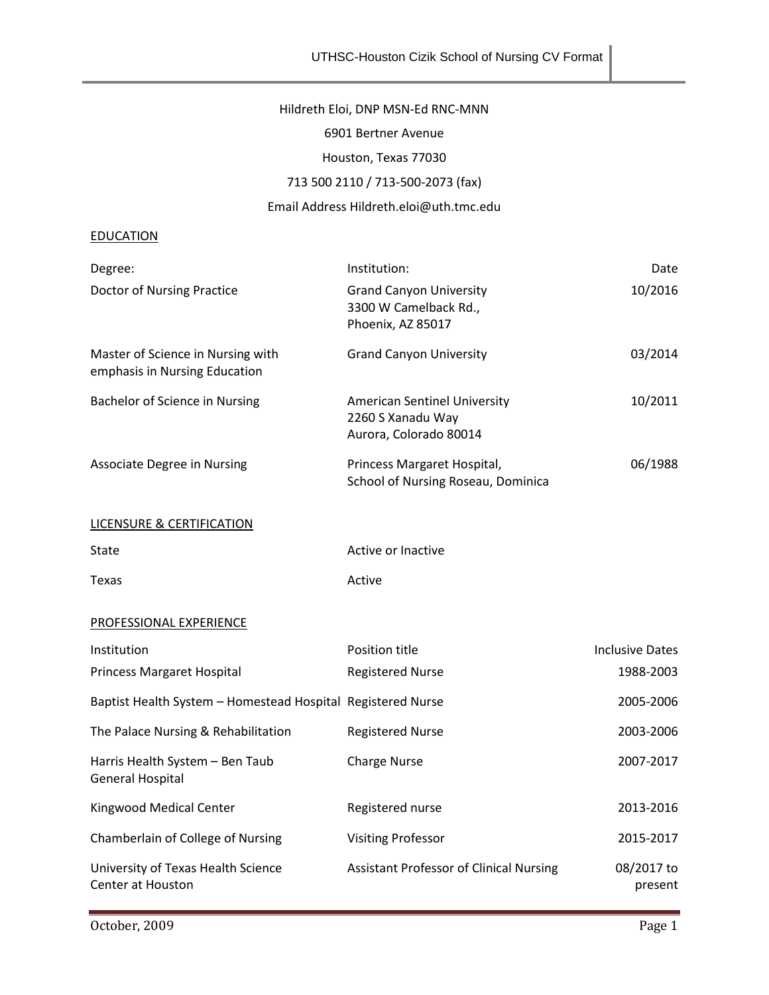## Hildreth Eloi, DNP MSN-Ed RNC-MNN

6901 Bertner Avenue

Houston, Texas 77030

# 713 500 2110 / 713-500-2073 (fax)

## Email Address Hildreth.eloi@uth.tmc.edu

#### **EDUCATION**

| Degree:                                                            | Institution:                                                                       | Date                  |
|--------------------------------------------------------------------|------------------------------------------------------------------------------------|-----------------------|
| Doctor of Nursing Practice                                         | <b>Grand Canyon University</b><br>3300 W Camelback Rd.,<br>Phoenix, AZ 85017       | 10/2016               |
| Master of Science in Nursing with<br>emphasis in Nursing Education | <b>Grand Canyon University</b>                                                     | 03/2014               |
| Bachelor of Science in Nursing                                     | <b>American Sentinel University</b><br>2260 S Xanadu Way<br>Aurora, Colorado 80014 | 10/2011               |
| <b>Associate Degree in Nursing</b>                                 | Princess Margaret Hospital,<br>School of Nursing Roseau, Dominica                  | 06/1988               |
| <b>LICENSURE &amp; CERTIFICATION</b>                               |                                                                                    |                       |
| State                                                              | Active or Inactive                                                                 |                       |
| Texas                                                              | Active                                                                             |                       |
| PROFESSIONAL EXPERIENCE                                            |                                                                                    |                       |
| Institution                                                        | Position title                                                                     | Inclusive Dates       |
| Princess Margaret Hospital                                         | <b>Registered Nurse</b>                                                            | 1988-2003             |
| Baptist Health System - Homestead Hospital Registered Nurse        |                                                                                    | 2005-2006             |
| The Palace Nursing & Rehabilitation                                | <b>Registered Nurse</b>                                                            | 2003-2006             |
| Harris Health System - Ben Taub<br><b>General Hospital</b>         | <b>Charge Nurse</b>                                                                | 2007-2017             |
| Kingwood Medical Center                                            | Registered nurse                                                                   | 2013-2016             |
| Chamberlain of College of Nursing                                  | <b>Visiting Professor</b>                                                          | 2015-2017             |
| University of Texas Health Science<br>Center at Houston            | <b>Assistant Professor of Clinical Nursing</b>                                     | 08/2017 to<br>present |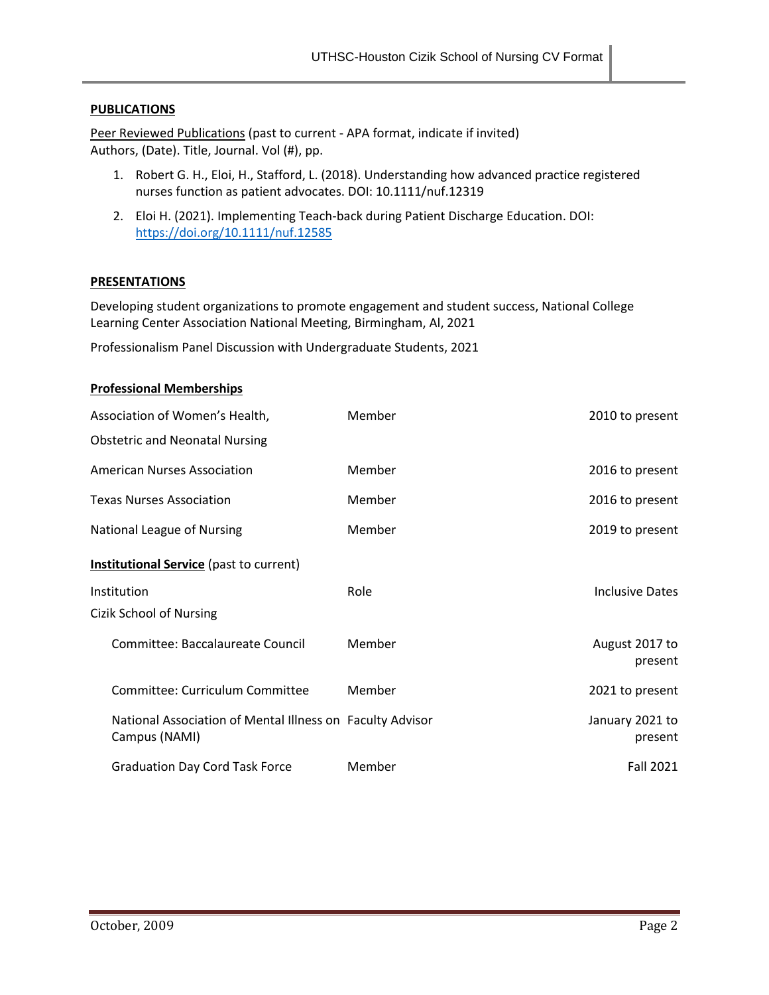### **PUBLICATIONS**

Peer Reviewed Publications (past to current - APA format, indicate if invited) Authors, (Date). Title, Journal. Vol (#), pp.

- 1. Robert G. H., Eloi, H., Stafford, L. (2018). Understanding how advanced practice registered nurses function as patient advocates. DOI: 10.1111/nuf.12319
- 2. Eloi H. (2021). Implementing Teach-back during Patient Discharge Education. DOI: <https://doi.org/10.1111/nuf.12585>

### **PRESENTATIONS**

Developing student organizations to promote engagement and student success, National College Learning Center Association National Meeting, Birmingham, Al, 2021

Professionalism Panel Discussion with Undergraduate Students, 2021

| <b>Professional Memberships</b> |  |
|---------------------------------|--|
|---------------------------------|--|

| Association of Women's Health,                                             | Member | 2010 to present            |
|----------------------------------------------------------------------------|--------|----------------------------|
| <b>Obstetric and Neonatal Nursing</b>                                      |        |                            |
| <b>American Nurses Association</b>                                         | Member | 2016 to present            |
| <b>Texas Nurses Association</b>                                            | Member | 2016 to present            |
| National League of Nursing                                                 | Member | 2019 to present            |
| <b>Institutional Service</b> (past to current)                             |        |                            |
| Institution                                                                | Role   | <b>Inclusive Dates</b>     |
| Cizik School of Nursing                                                    |        |                            |
| Committee: Baccalaureate Council                                           | Member | August 2017 to<br>present  |
| Committee: Curriculum Committee                                            | Member | 2021 to present            |
| National Association of Mental Illness on Faculty Advisor<br>Campus (NAMI) |        | January 2021 to<br>present |
| <b>Graduation Day Cord Task Force</b>                                      | Member | Fall 2021                  |